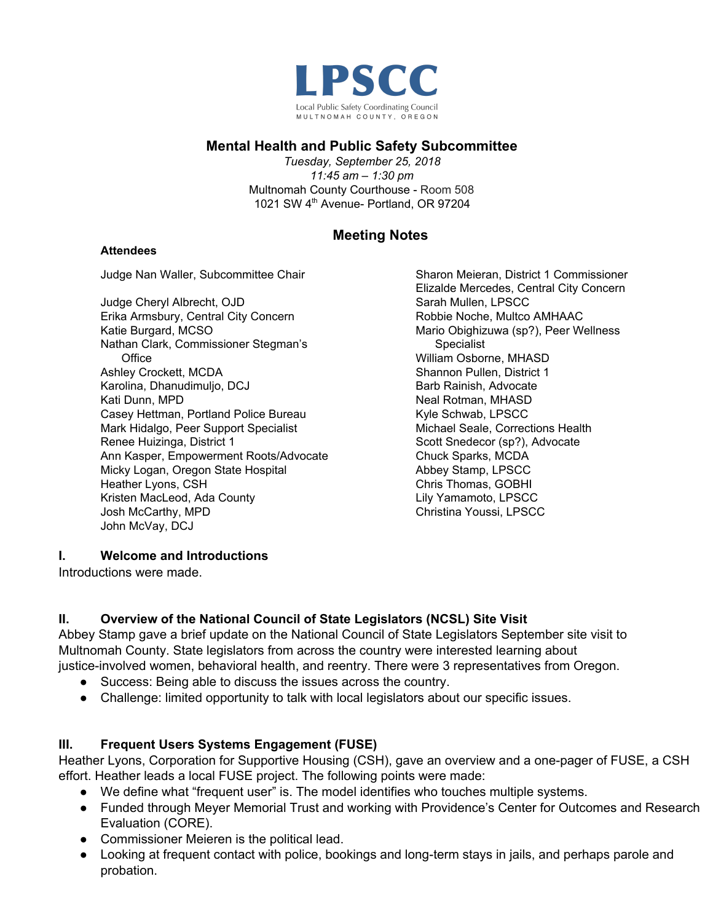

### **Mental Health and Public Safety Subcommittee**

*Tuesday, September 25, 2018 11:45 am – 1:30 pm* Multnomah County Courthouse - Room 508 1021 SW 4<sup>th</sup> Avenue- Portland, OR 97204

# **Meeting Notes**

#### **Attendees**

Judge Nan Waller, Subcommittee Chair

Judge Cheryl Albrecht, OJD Erika Armsbury, Central City Concern Katie Burgard, MCSO Nathan Clark, Commissioner Stegman's **Office** Ashley Crockett, MCDA Karolina, Dhanudimuljo, DCJ Kati Dunn, MPD Casey Hettman, Portland Police Bureau Mark Hidalgo, Peer Support Specialist Renee Huizinga, District 1 Ann Kasper, Empowerment Roots/Advocate Micky Logan, Oregon State Hospital Heather Lyons, CSH Kristen MacLeod, Ada County Josh McCarthy, MPD John McVay, DCJ

Sharon Meieran, District 1 Commissioner Elizalde Mercedes, Central City Concern Sarah Mullen, LPSCC Robbie Noche, Multco AMHAAC Mario Obighizuwa (sp?), Peer Wellness Specialist William Osborne, MHASD Shannon Pullen, District 1 Barb Rainish, Advocate Neal Rotman, MHASD Kyle Schwab, LPSCC Michael Seale, Corrections Health Scott Snedecor (sp?), Advocate Chuck Sparks, MCDA Abbey Stamp, LPSCC Chris Thomas, GOBHI Lily Yamamoto, LPSCC Christina Youssi, LPSCC

#### **I. Welcome and Introductions**

Introductions were made.

#### **II. Overview of the National Council of State Legislators (NCSL) Site Visit**

Abbey Stamp gave a brief update on the National Council of State Legislators September site visit to Multnomah County. State legislators from across the country were interested learning about justice-involved women, behavioral health, and reentry. There were 3 representatives from Oregon.

- Success: Being able to discuss the issues across the country.
- Challenge: limited opportunity to talk with local legislators about our specific issues.

#### **III. Frequent Users Systems Engagement (FUSE)**

Heather Lyons, Corporation for Supportive Housing (CSH), gave an overview and a one-pager of FUSE, a CSH effort. Heather leads a local FUSE project. The following points were made:

- We define what "frequent user" is. The model identifies who touches multiple systems.
- Funded through Meyer Memorial Trust and working with Providence's Center for Outcomes and Research Evaluation (CORE).
- Commissioner Meieren is the political lead.
- Looking at frequent contact with police, bookings and long-term stays in jails, and perhaps parole and probation.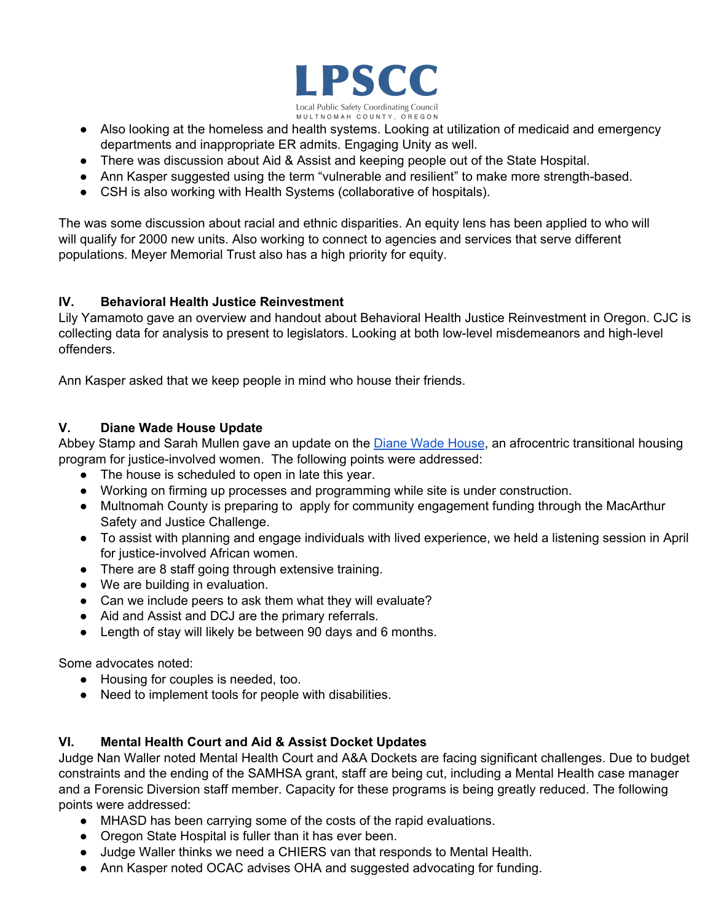

- Also looking at the homeless and health systems. Looking at utilization of medicaid and emergency departments and inappropriate ER admits. Engaging Unity as well.
- There was discussion about Aid & Assist and keeping people out of the State Hospital.
- Ann Kasper suggested using the term "vulnerable and resilient" to make more strength-based.
- CSH is also working with Health Systems (collaborative of hospitals).

The was some discussion about racial and ethnic disparities. An equity lens has been applied to who will will qualify for 2000 new units. Also working to connect to agencies and services that serve different populations. Meyer Memorial Trust also has a high priority for equity.

#### **IV. Behavioral Health Justice Reinvestment**

Lily Yamamoto gave an overview and handout about Behavioral Health Justice Reinvestment in Oregon. CJC is collecting data for analysis to present to legislators. Looking at both low-level misdemeanors and high-level offenders.

Ann Kasper asked that we keep people in mind who house their friends.

## **V. Diane Wade House Update**

Abbey Stamp and Sarah Mullen gave an update on the Diane Wade [House](https://multco.us/lpscc/diane-wade-house), an afrocentric transitional housing program for justice-involved women. The following points were addressed:

- The house is scheduled to open in late this year.
- Working on firming up processes and programming while site is under construction.
- Multnomah County is preparing to apply for community engagement funding through the MacArthur Safety and Justice Challenge.
- To assist with planning and engage individuals with lived experience, we held a listening session in April for justice-involved African women.
- There are 8 staff going through extensive training.
- We are building in evaluation.
- Can we include peers to ask them what they will evaluate?
- Aid and Assist and DCJ are the primary referrals.
- Length of stay will likely be between 90 days and 6 months.

Some advocates noted:

- Housing for couples is needed, too.
- Need to implement tools for people with disabilities.

#### **VI. Mental Health Court and Aid & Assist Docket Updates**

Judge Nan Waller noted Mental Health Court and A&A Dockets are facing significant challenges. Due to budget constraints and the ending of the SAMHSA grant, staff are being cut, including a Mental Health case manager and a Forensic Diversion staff member. Capacity for these programs is being greatly reduced. The following points were addressed:

- MHASD has been carrying some of the costs of the rapid evaluations.
- Oregon State Hospital is fuller than it has ever been.
- Judge Waller thinks we need a CHIERS van that responds to Mental Health.
- Ann Kasper noted OCAC advises OHA and suggested advocating for funding.